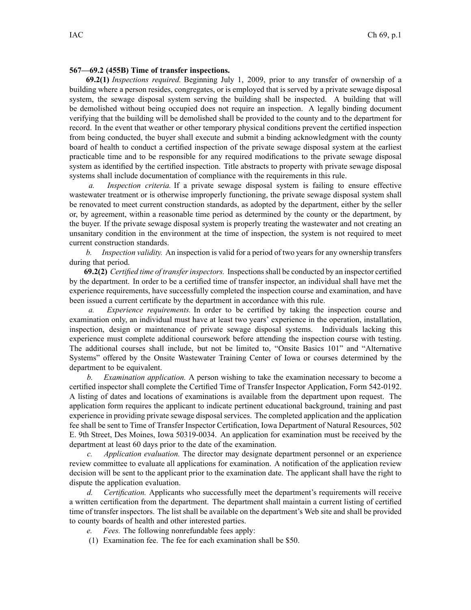## **567—69.2 (455B) Time of transfer inspections.**

**69.2(1)** *Inspections required.* Beginning July 1, 2009, prior to any transfer of ownership of <sup>a</sup> building where <sup>a</sup> person resides, congregates, or is employed that is served by <sup>a</sup> private sewage disposal system, the sewage disposal system serving the building shall be inspected. A building that will be demolished without being occupied does not require an inspection. A legally binding document verifying that the building will be demolished shall be provided to the county and to the department for record. In the event that weather or other temporary physical conditions preven<sup>t</sup> the certified inspection from being conducted, the buyer shall execute and submit <sup>a</sup> binding acknowledgment with the county board of health to conduct <sup>a</sup> certified inspection of the private sewage disposal system at the earliest practicable time and to be responsible for any required modifications to the private sewage disposal system as identified by the certified inspection. Title abstracts to property with private sewage disposal systems shall include documentation of compliance with the requirements in this rule.

*a. Inspection criteria.* If <sup>a</sup> private sewage disposal system is failing to ensure effective wastewater treatment or is otherwise improperly functioning, the private sewage disposal system shall be renovated to meet current construction standards, as adopted by the department, either by the seller or, by agreement, within <sup>a</sup> reasonable time period as determined by the county or the department, by the buyer. If the private sewage disposal system is properly treating the wastewater and not creating an unsanitary condition in the environment at the time of inspection, the system is not required to meet current construction standards.

*b. Inspection validity.* An inspection is valid for <sup>a</sup> period of two years for any ownership transfers during that period.

**69.2(2)** *Certified time of transferinspectors.* Inspectionsshall be conducted by an inspector certified by the department. In order to be <sup>a</sup> certified time of transfer inspector, an individual shall have met the experience requirements, have successfully completed the inspection course and examination, and have been issued <sup>a</sup> current certificate by the department in accordance with this rule.

*a. Experience requirements.* In order to be certified by taking the inspection course and examination only, an individual must have at least two years' experience in the operation, installation, inspection, design or maintenance of private sewage disposal systems. Individuals lacking this experience must complete additional coursework before attending the inspection course with testing. The additional courses shall include, but not be limited to, "Onsite Basics 101" and "Alternative Systems" offered by the Onsite Wastewater Training Center of Iowa or courses determined by the department to be equivalent.

*b. Examination application.* A person wishing to take the examination necessary to become <sup>a</sup> certified inspector shall complete the Certified Time of Transfer Inspector Application, Form 542-0192. A listing of dates and locations of examinations is available from the department upon request. The application form requires the applicant to indicate pertinent educational background, training and pas<sup>t</sup> experience in providing private sewage disposal services. The completed application and the application fee shall be sent to Time of Transfer Inspector Certification, Iowa Department of Natural Resources, 502 E. 9th Street, Des Moines, Iowa 50319-0034. An application for examination must be received by the department at least 60 days prior to the date of the examination.

*c. Application evaluation.* The director may designate department personnel or an experience review committee to evaluate all applications for examination. A notification of the application review decision will be sent to the applicant prior to the examination date. The applicant shall have the right to dispute the application evaluation.

*d. Certification.* Applicants who successfully meet the department's requirements will receive <sup>a</sup> written certification from the department. The department shall maintain <sup>a</sup> current listing of certified time of transfer inspectors. The list shall be available on the department's Web site and shall be provided to county boards of health and other interested parties.

- *e. Fees.* The following nonrefundable fees apply:
- (1) Examination fee. The fee for each examination shall be \$50.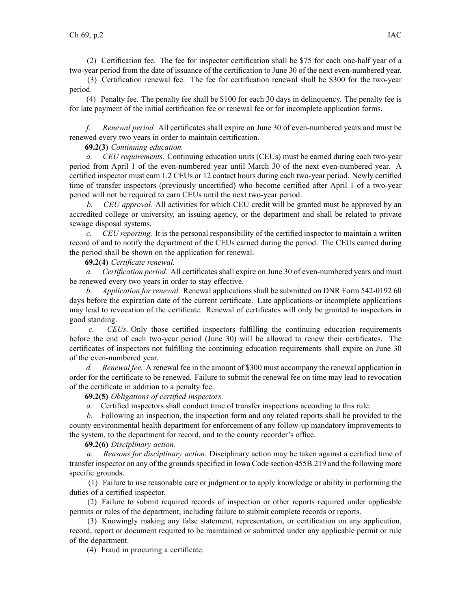(2) Certification fee. The fee for inspector certification shall be \$75 for each one-half year of <sup>a</sup> two-year period from the date of issuance of the certification to June 30 of the next even-numbered year.

(3) Certification renewal fee. The fee for certification renewal shall be \$300 for the two-year period.

(4) Penalty fee. The penalty fee shall be \$100 for each 30 days in delinquency. The penalty fee is for late paymen<sup>t</sup> of the initial certification fee or renewal fee or for incomplete application forms.

*f. Renewal period.* All certificates shall expire on June 30 of even-numbered years and must be renewed every two years in order to maintain certification.

## **69.2(3)** *Continuing education.*

*a. CEU requirements.* Continuing education units (CEUs) must be earned during each two-year period from April 1 of the even-numbered year until March 30 of the next even-numbered year. A certified inspector must earn 1.2 CEUs or 12 contact hours during each two-year period. Newly certified time of transfer inspectors (previously uncertified) who become certified after April 1 of <sup>a</sup> two-year period will not be required to earn CEUs until the next two-year period.

*b. CEU approval.* All activities for which CEU credit will be granted must be approved by an accredited college or university, an issuing agency, or the department and shall be related to private sewage disposal systems.

*c. CEU reporting.* It is the personal responsibility of the certified inspector to maintain <sup>a</sup> written record of and to notify the department of the CEUs earned during the period. The CEUs earned during the period shall be shown on the application for renewal.

**69.2(4)** *Certificate renewal.*

*a. Certification period.* All certificates shall expire on June 30 of even-numbered years and must be renewed every two years in order to stay effective.

*b. Application for renewal.* Renewal applications shall be submitted on DNR Form 542-0192 60 days before the expiration date of the current certificate. Late applications or incomplete applications may lead to revocation of the certificate. Renewal of certificates will only be granted to inspectors in good standing.

*c. CEUs.* Only those certified inspectors fulfilling the continuing education requirements before the end of each two-year period (June 30) will be allowed to renew their certificates. The certificates of inspectors not fulfilling the continuing education requirements shall expire on June 30 of the even-numbered year.

*d. Renewal fee.* A renewal fee in the amount of \$300 must accompany the renewal application in order for the certificate to be renewed. Failure to submit the renewal fee on time may lead to revocation of the certificate in addition to <sup>a</sup> penalty fee.

**69.2(5)** *Obligations of certified inspectors.*

*a.* Certified inspectors shall conduct time of transfer inspections according to this rule.

*b.* Following an inspection, the inspection form and any related reports shall be provided to the county environmental health department for enforcement of any follow-up mandatory improvements to the system, to the department for record, and to the county recorder's office.

**69.2(6)** *Disciplinary action.*

*a. Reasons for disciplinary action.* Disciplinary action may be taken against <sup>a</sup> certified time of transfer inspector on any of the groundsspecified in Iowa Code section 455B.219 and the following more specific grounds.

(1) Failure to use reasonable care or judgment or to apply knowledge or ability in performing the duties of <sup>a</sup> certified inspector.

(2) Failure to submit required records of inspection or other reports required under applicable permits or rules of the department, including failure to submit complete records or reports.

(3) Knowingly making any false statement, representation, or certification on any application, record, repor<sup>t</sup> or document required to be maintained or submitted under any applicable permit or rule of the department.

(4) Fraud in procuring <sup>a</sup> certificate.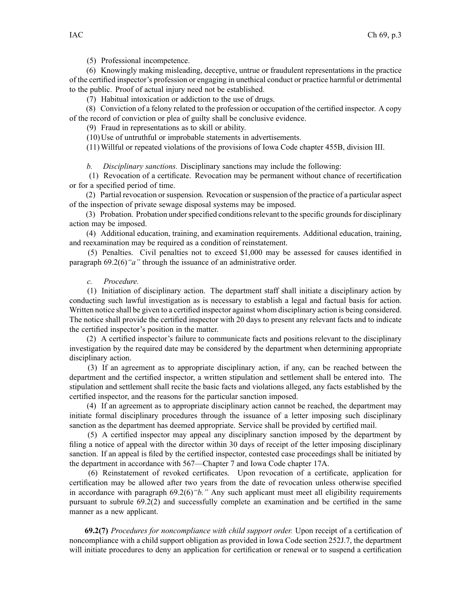(5) Professional incompetence.

(6) Knowingly making misleading, deceptive, untrue or fraudulent representations in the practice of the certified inspector's profession or engaging in unethical conduct or practice harmful or detrimental to the public. Proof of actual injury need not be established.

(7) Habitual intoxication or addiction to the use of drugs.

(8) Conviction of <sup>a</sup> felony related to the profession or occupation of the certified inspector. A copy of the record of conviction or plea of guilty shall be conclusive evidence.

(9) Fraud in representations as to skill or ability.

(10)Use of untruthful or improbable statements in advertisements.

(11)Willful or repeated violations of the provisions of Iowa Code chapter 455B, division III.

*b. Disciplinary sanctions.* Disciplinary sanctions may include the following:

(1) Revocation of <sup>a</sup> certificate. Revocation may be permanen<sup>t</sup> without chance of recertification or for <sup>a</sup> specified period of time.

(2) Partial revocation orsuspension. Revocation orsuspension of the practice of <sup>a</sup> particular aspec<sup>t</sup> of the inspection of private sewage disposal systems may be imposed.

(3) Probation. Probation under specified conditions relevant to the specific grounds for disciplinary action may be imposed.

(4) Additional education, training, and examination requirements. Additional education, training, and reexamination may be required as <sup>a</sup> condition of reinstatement.

(5) Penalties. Civil penalties not to exceed \$1,000 may be assessed for causes identified in paragraph 69.2(6)*"a"* through the issuance of an administrative order.

## *c. Procedure.*

(1) Initiation of disciplinary action. The department staff shall initiate <sup>a</sup> disciplinary action by conducting such lawful investigation as is necessary to establish <sup>a</sup> legal and factual basis for action. Written notice shall be given to <sup>a</sup> certified inspector against whom disciplinary action is being considered. The notice shall provide the certified inspector with 20 days to presen<sup>t</sup> any relevant facts and to indicate the certified inspector's position in the matter.

(2) A certified inspector's failure to communicate facts and positions relevant to the disciplinary investigation by the required date may be considered by the department when determining appropriate disciplinary action.

(3) If an agreemen<sup>t</sup> as to appropriate disciplinary action, if any, can be reached between the department and the certified inspector, <sup>a</sup> written stipulation and settlement shall be entered into. The stipulation and settlement shall recite the basic facts and violations alleged, any facts established by the certified inspector, and the reasons for the particular sanction imposed.

(4) If an agreemen<sup>t</sup> as to appropriate disciplinary action cannot be reached, the department may initiate formal disciplinary procedures through the issuance of <sup>a</sup> letter imposing such disciplinary sanction as the department has deemed appropriate. Service shall be provided by certified mail.

(5) A certified inspector may appeal any disciplinary sanction imposed by the department by filing <sup>a</sup> notice of appeal with the director within 30 days of receipt of the letter imposing disciplinary sanction. If an appeal is filed by the certified inspector, contested case proceedings shall be initiated by the department in accordance with 567—Chapter 7 and Iowa Code chapter 17A.

(6) Reinstatement of revoked certificates. Upon revocation of <sup>a</sup> certificate, application for certification may be allowed after two years from the date of revocation unless otherwise specified in accordance with paragraph 69.2(6)*"b."* Any such applicant must meet all eligibility requirements pursuan<sup>t</sup> to subrule 69.2(2) and successfully complete an examination and be certified in the same manner as <sup>a</sup> new applicant.

**69.2(7)** *Procedures for noncompliance with child suppor<sup>t</sup> order.* Upon receipt of <sup>a</sup> certification of noncompliance with <sup>a</sup> child suppor<sup>t</sup> obligation as provided in Iowa Code section 252J.7, the department will initiate procedures to deny an application for certification or renewal or to suspend <sup>a</sup> certification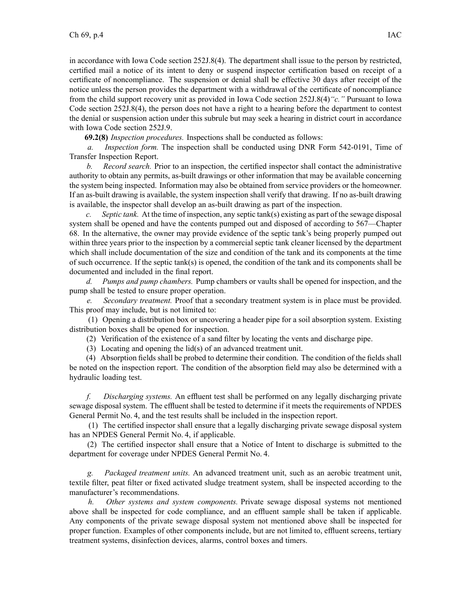in accordance with Iowa Code section 252J.8(4). The department shall issue to the person by restricted, certified mail <sup>a</sup> notice of its intent to deny or suspend inspector certification based on receipt of <sup>a</sup> certificate of noncompliance. The suspension or denial shall be effective 30 days after receipt of the notice unless the person provides the department with <sup>a</sup> withdrawal of the certificate of noncompliance from the child suppor<sup>t</sup> recovery unit as provided in Iowa Code section 252J.8(4)*"c."* Pursuant to Iowa Code section 252J.8(4), the person does not have <sup>a</sup> right to <sup>a</sup> hearing before the department to contest the denial or suspension action under this subrule but may seek <sup>a</sup> hearing in district court in accordance with Iowa Code section 252J.9.

**69.2(8)** *Inspection procedures.* Inspections shall be conducted as follows:

*a. Inspection form.* The inspection shall be conducted using DNR Form 542-0191, Time of Transfer Inspection Report.

*b. Record search.* Prior to an inspection, the certified inspector shall contact the administrative authority to obtain any permits, as-built drawings or other information that may be available concerning the system being inspected. Information may also be obtained from service providers or the homeowner. If an as-built drawing is available, the system inspection shall verify that drawing. If no as-built drawing is available, the inspector shall develop an as-built drawing as par<sup>t</sup> of the inspection.

*c. Septic tank.* At the time of inspection, any septic tank(s) existing as par<sup>t</sup> of the sewage disposal system shall be opened and have the contents pumped out and disposed of according to 567—Chapter 68. In the alternative, the owner may provide evidence of the septic tank's being properly pumped out within three years prior to the inspection by <sup>a</sup> commercial septic tank cleaner licensed by the department which shall include documentation of the size and condition of the tank and its components at the time of such occurrence. If the septic tank(s) is opened, the condition of the tank and its components shall be documented and included in the final report.

*d. Pumps and pump chambers.* Pump chambers or vaults shall be opened for inspection, and the pump shall be tested to ensure proper operation.

*e. Secondary treatment.* Proof that <sup>a</sup> secondary treatment system is in place must be provided. This proof may include, but is not limited to:

(1) Opening <sup>a</sup> distribution box or uncovering <sup>a</sup> header pipe for <sup>a</sup> soil absorption system. Existing distribution boxes shall be opened for inspection.

(2) Verification of the existence of <sup>a</sup> sand filter by locating the vents and discharge pipe.

(3) Locating and opening the lid(s) of an advanced treatment unit.

(4) Absorption fields shall be probed to determine their condition. The condition of the fields shall be noted on the inspection report. The condition of the absorption field may also be determined with <sup>a</sup> hydraulic loading test.

*f. Discharging systems.* An effluent test shall be performed on any legally discharging private sewage disposal system. The effluent shall be tested to determine if it meets the requirements of NPDES General Permit No. 4, and the test results shall be included in the inspection report.

(1) The certified inspector shall ensure that <sup>a</sup> legally discharging private sewage disposal system has an NPDES General Permit No. 4, if applicable.

(2) The certified inspector shall ensure that <sup>a</sup> Notice of Intent to discharge is submitted to the department for coverage under NPDES General Permit No. 4.

*g. Packaged treatment units.* An advanced treatment unit, such as an aerobic treatment unit, textile filter, pea<sup>t</sup> filter or fixed activated sludge treatment system, shall be inspected according to the manufacturer's recommendations.

*h. Other systems and system components.* Private sewage disposal systems not mentioned above shall be inspected for code compliance, and an effluent sample shall be taken if applicable. Any components of the private sewage disposal system not mentioned above shall be inspected for proper function. Examples of other components include, but are not limited to, effluent screens, tertiary treatment systems, disinfection devices, alarms, control boxes and timers.